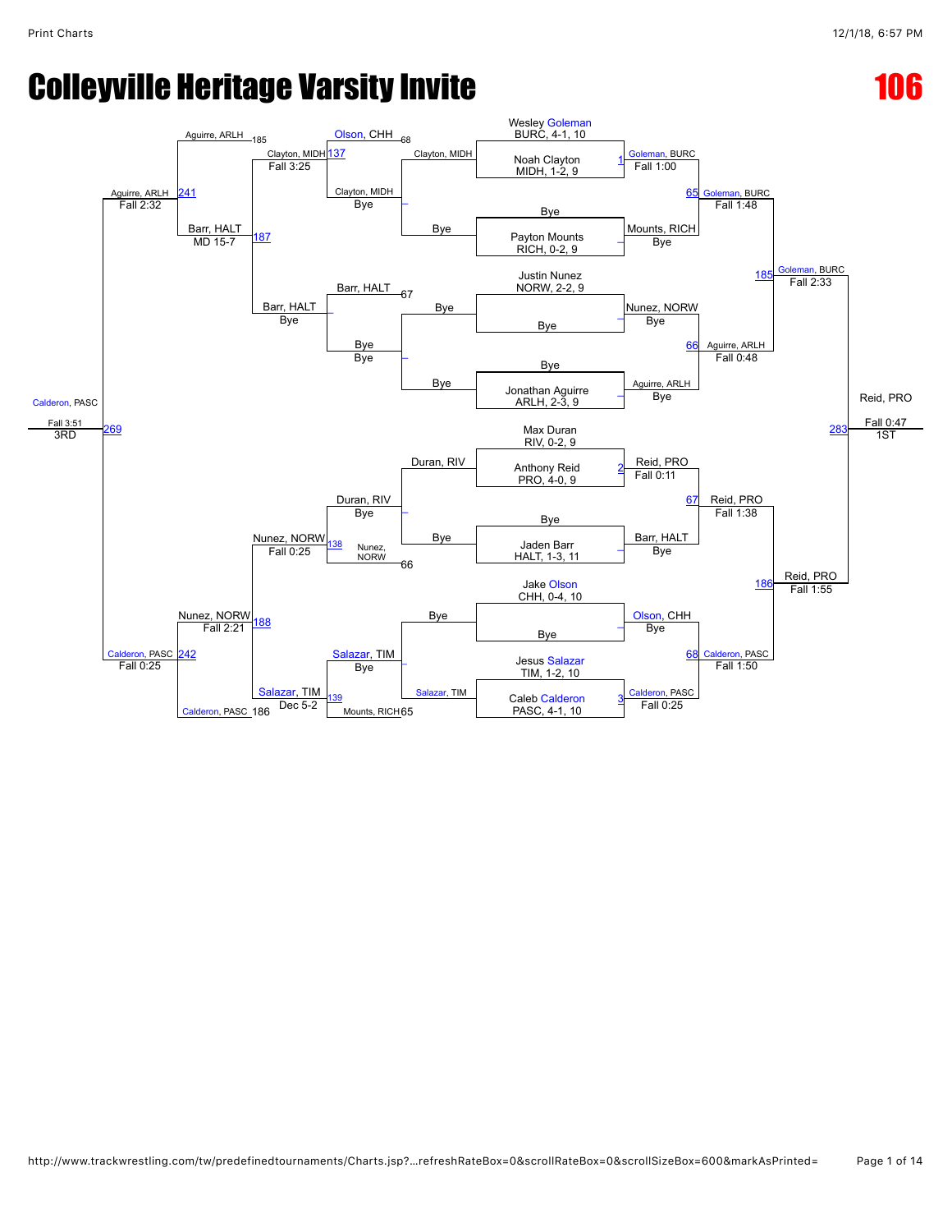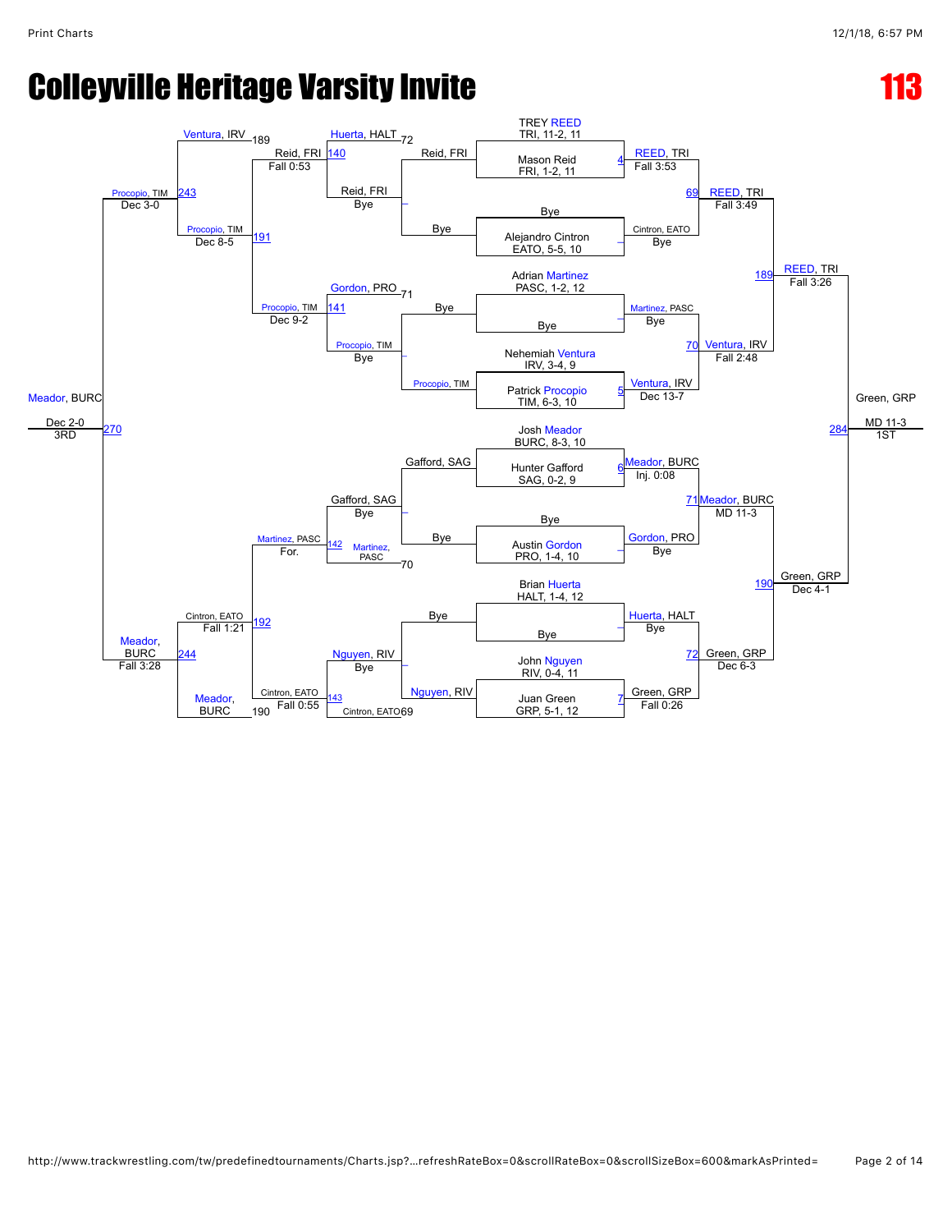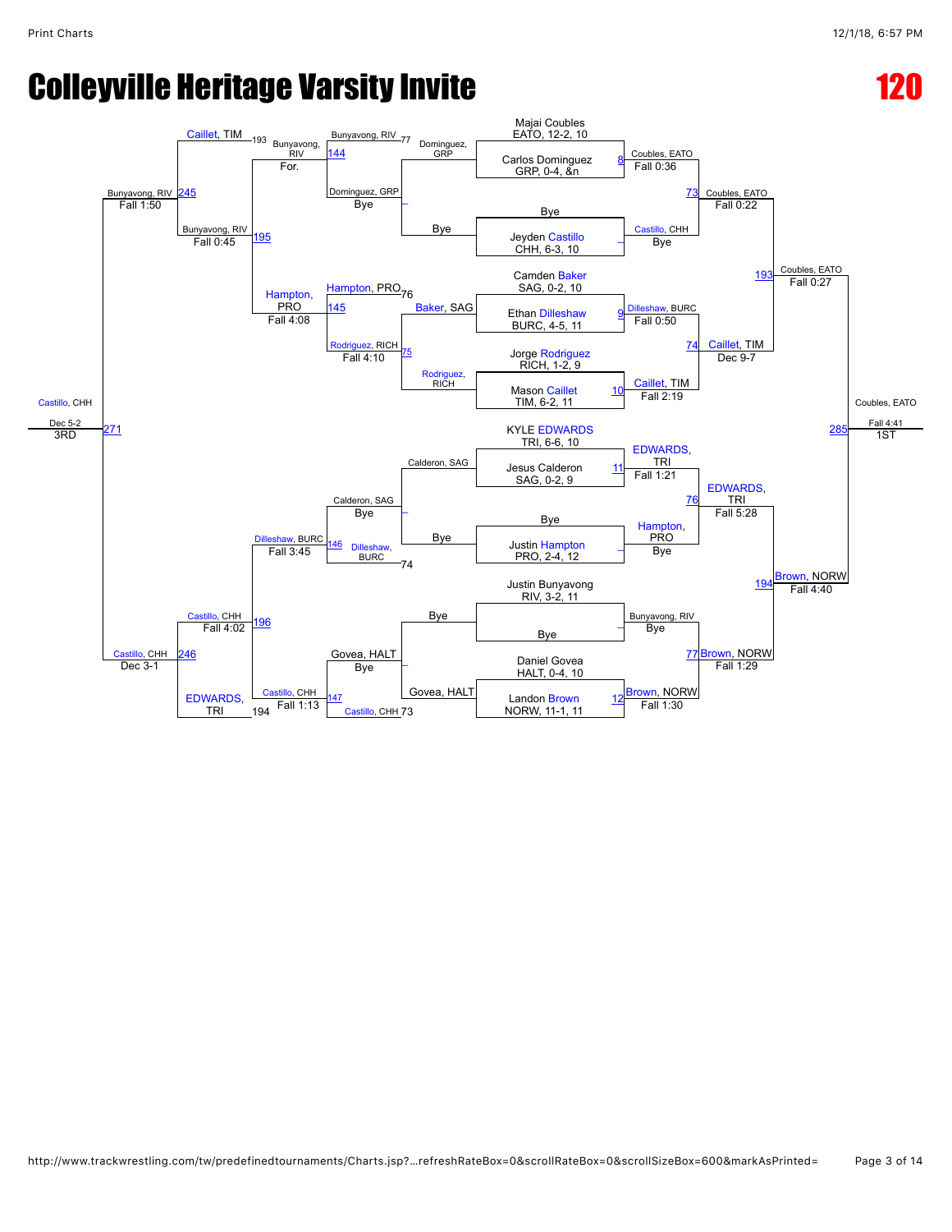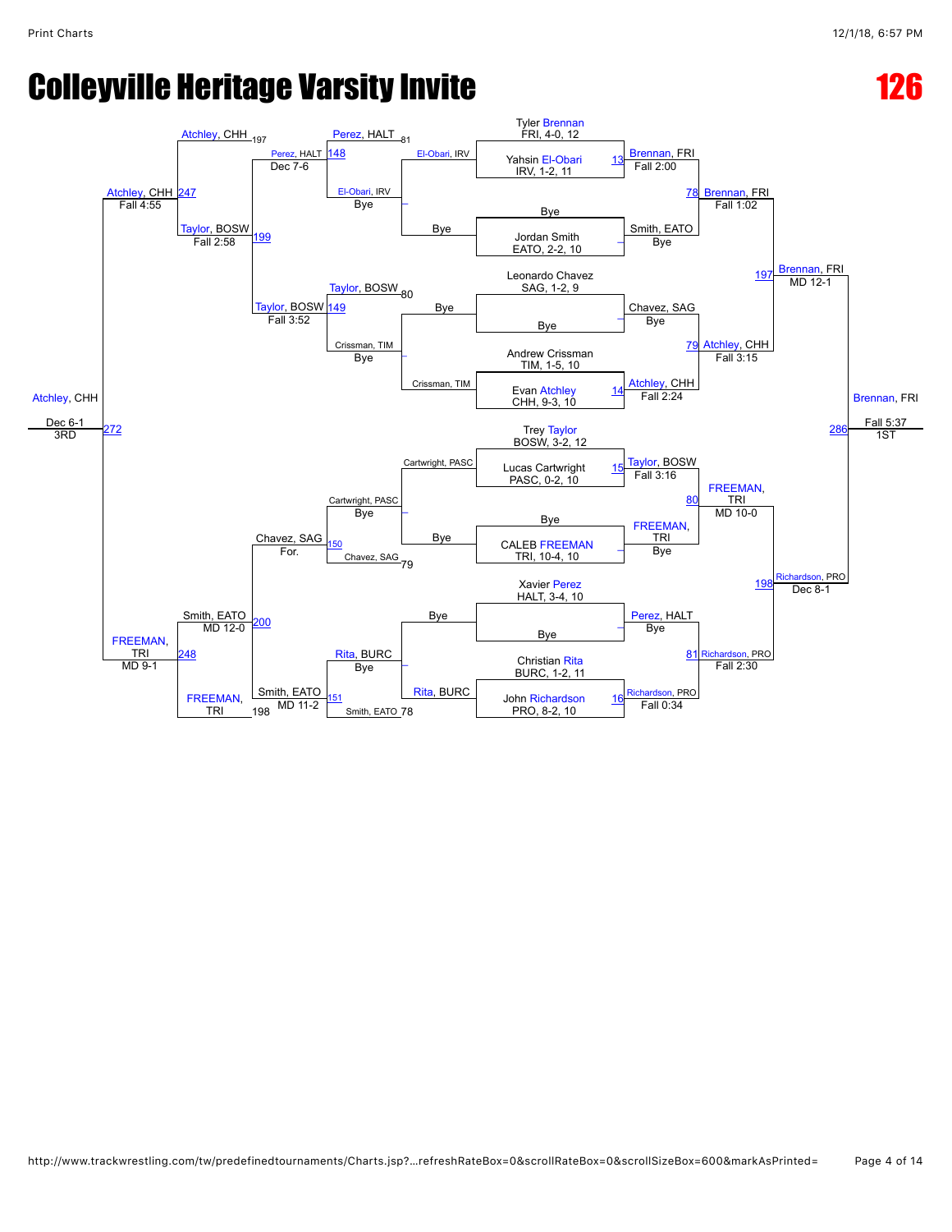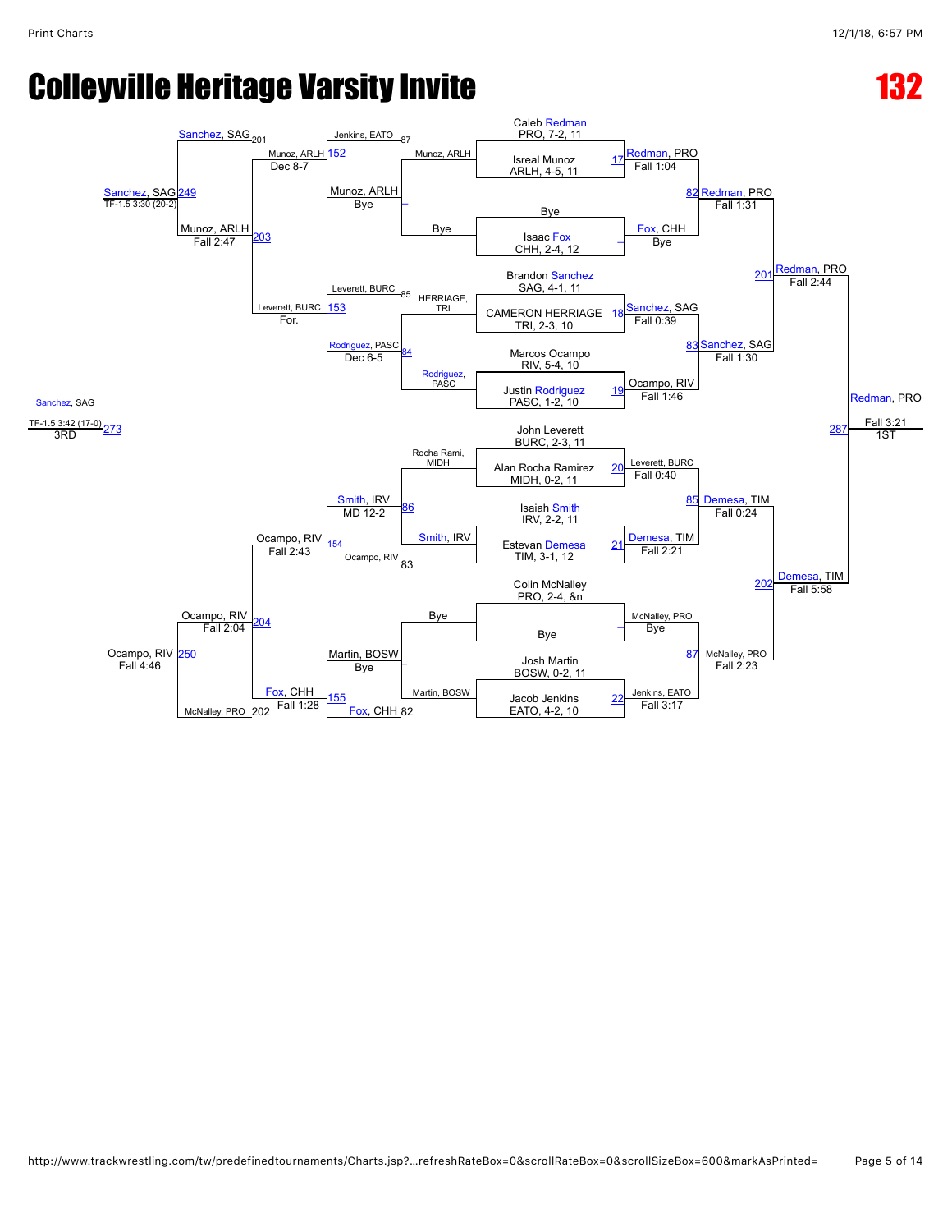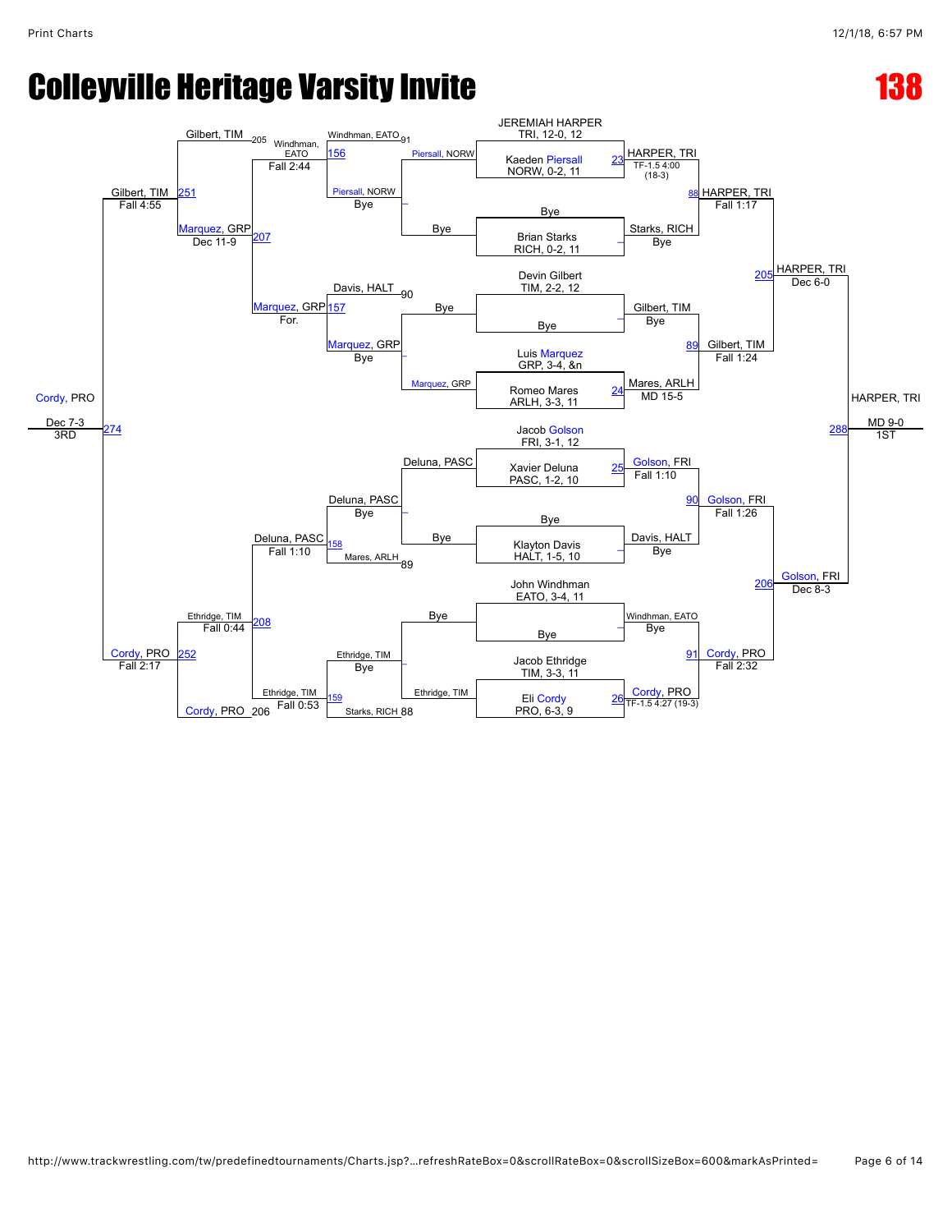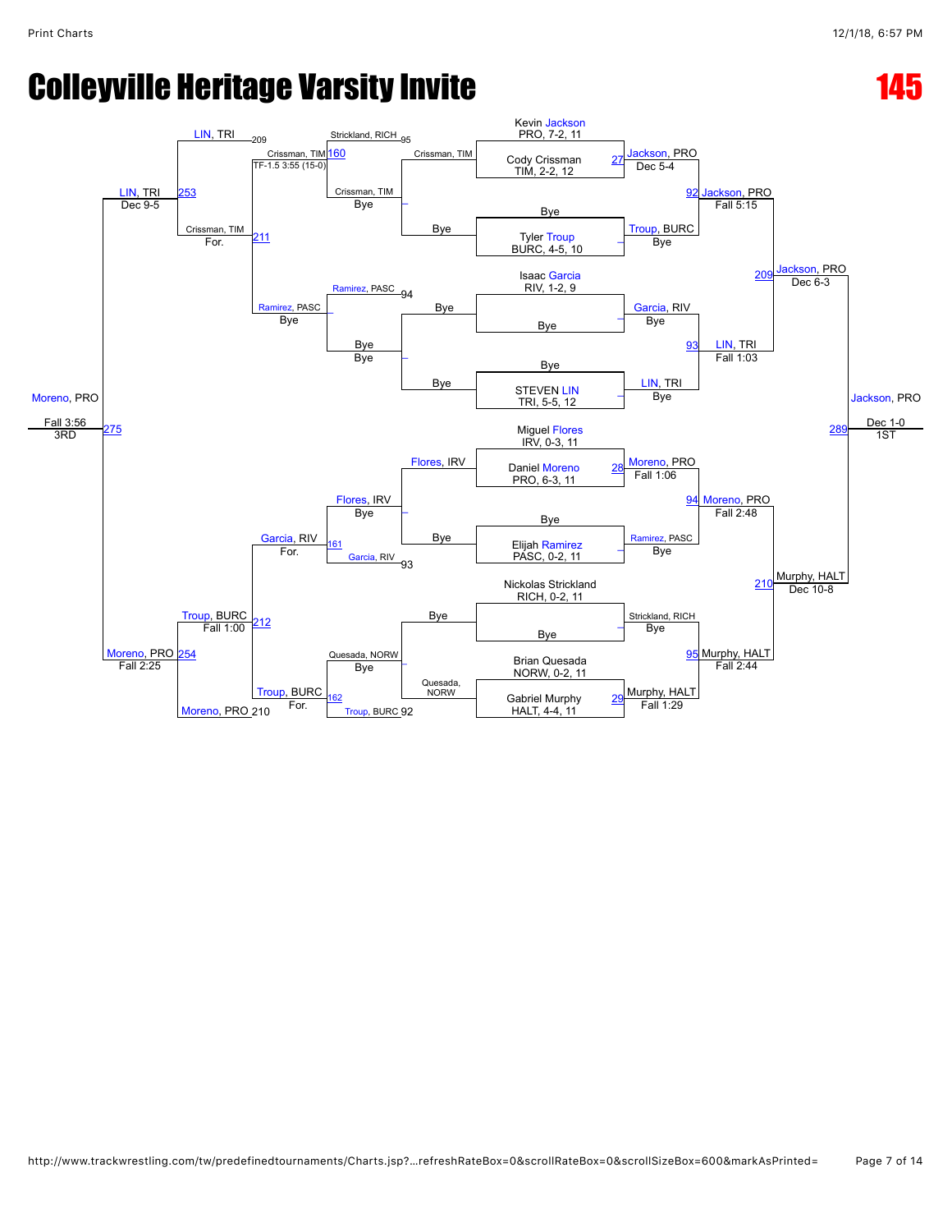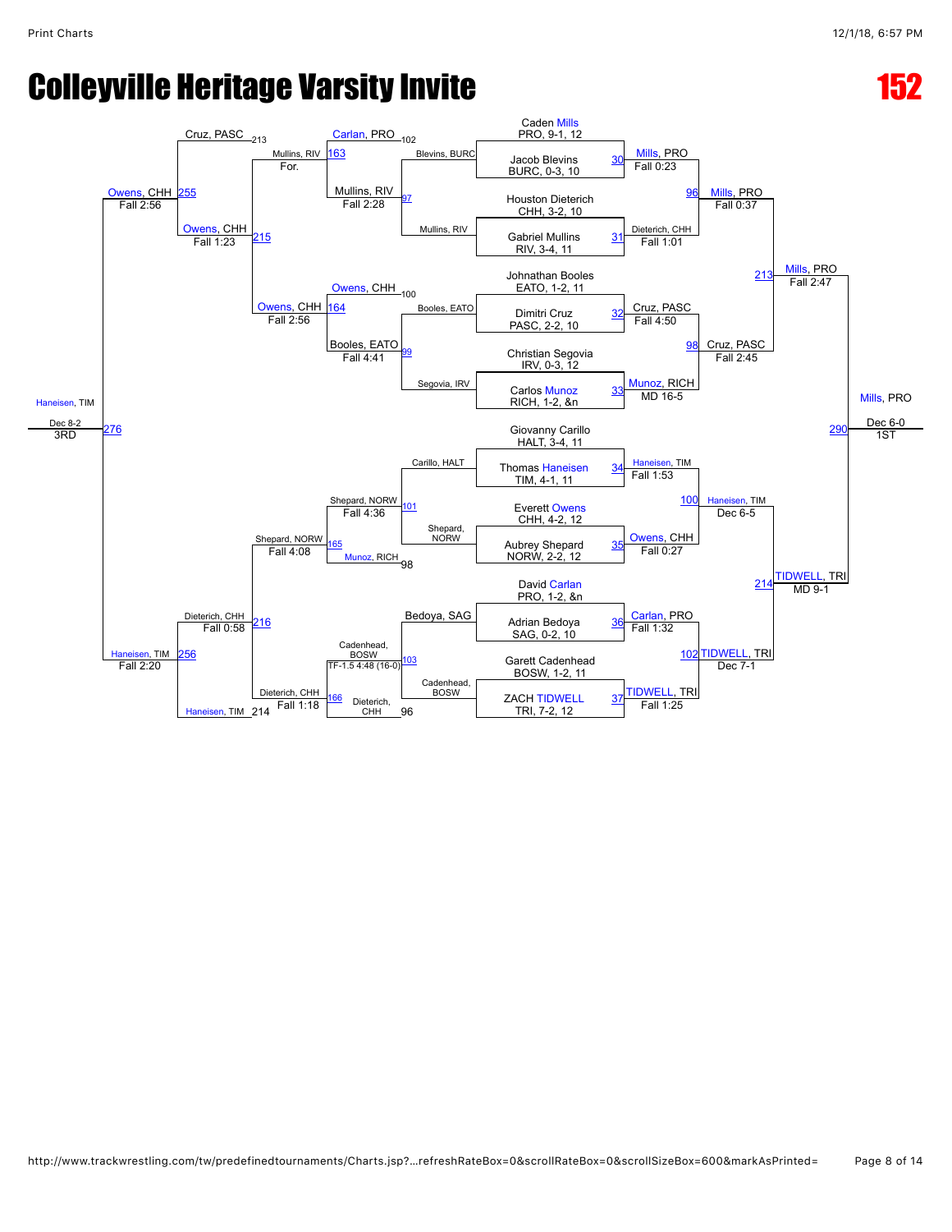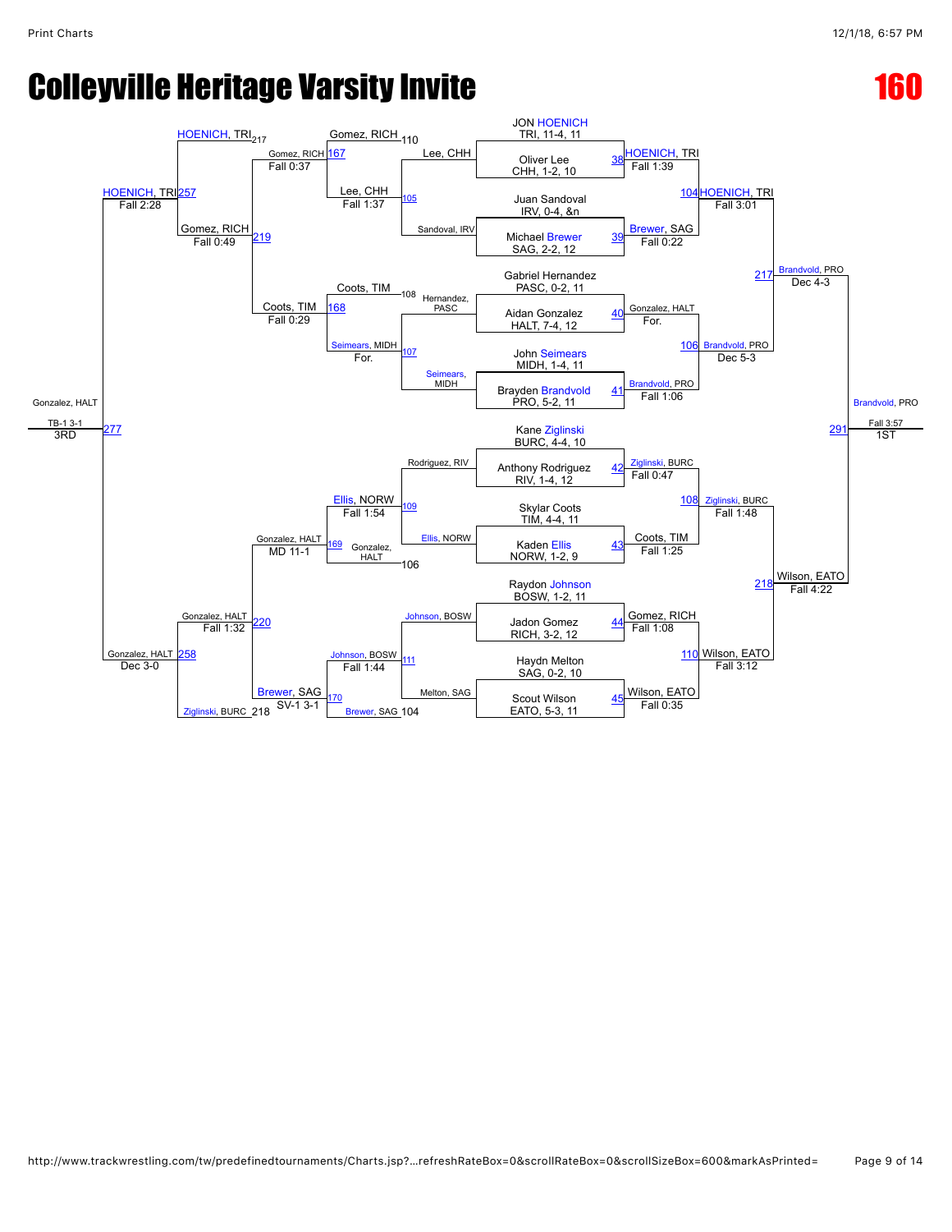### **Colleyville Heritage Varsity Invite 160 and 160 and 160 and 160 and 160 and 160 and 160 and 160 and 160 and 160 and 160 and 160 and 160 and 160 and 160 and 160 and 160 and 160 and 160 and 160 and 160 and 160 and 160 and 1**

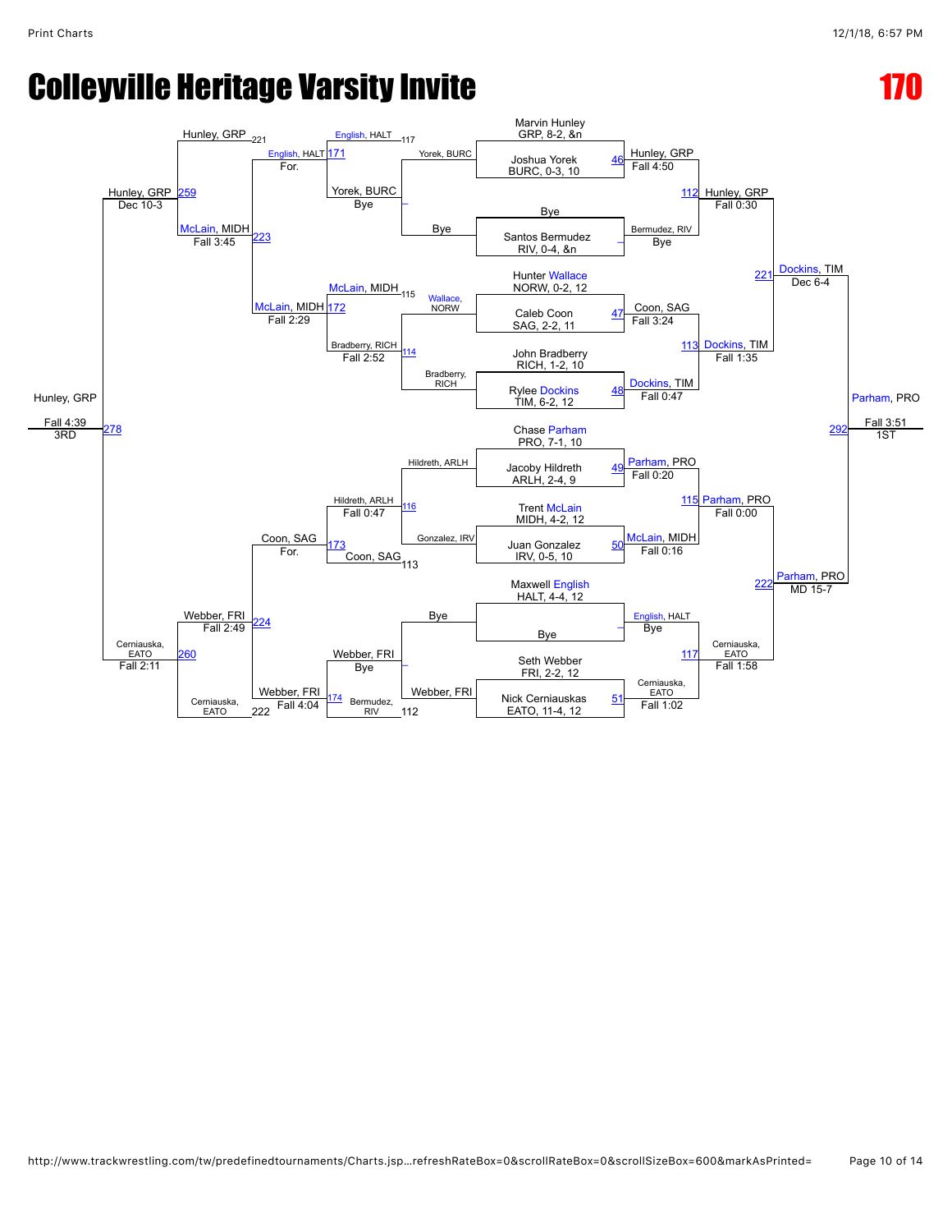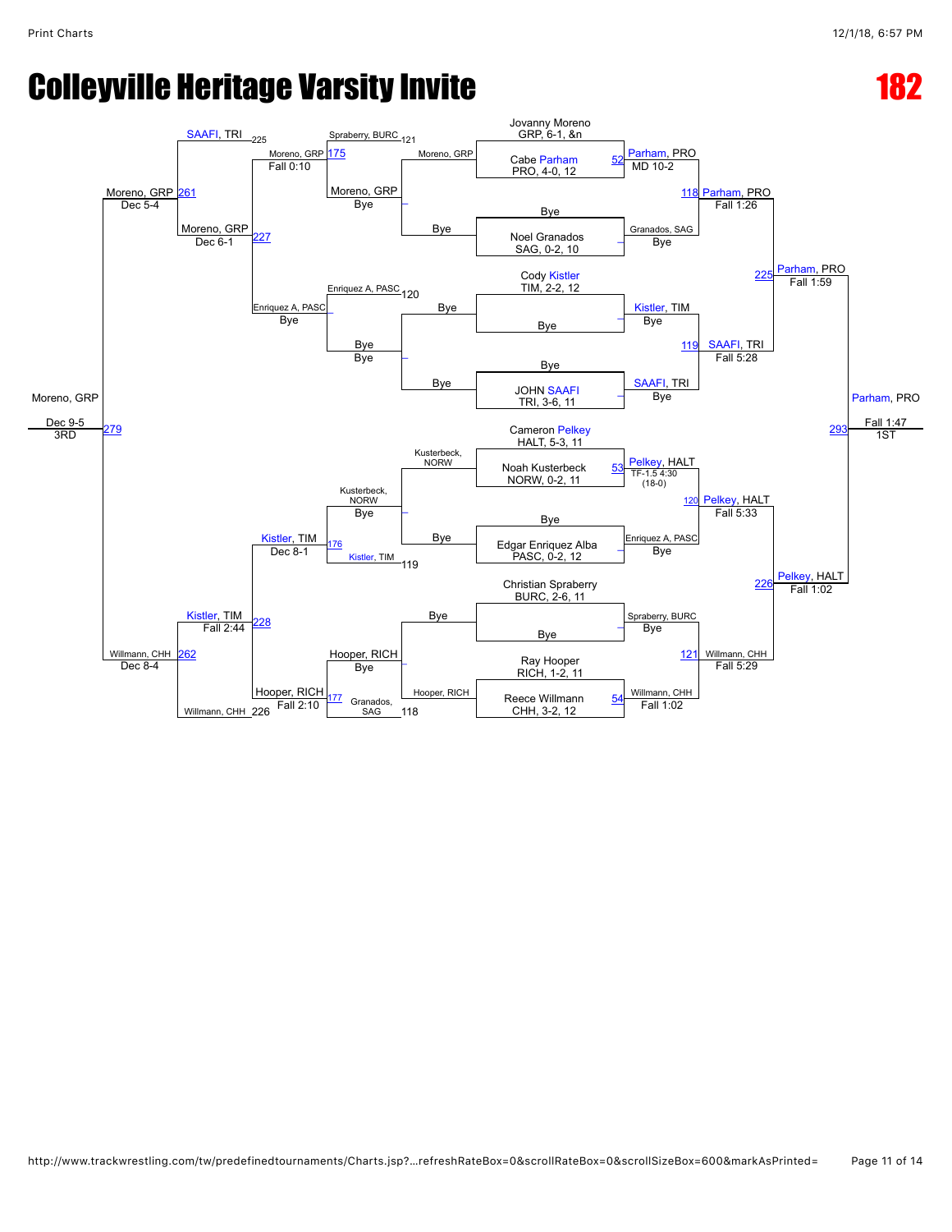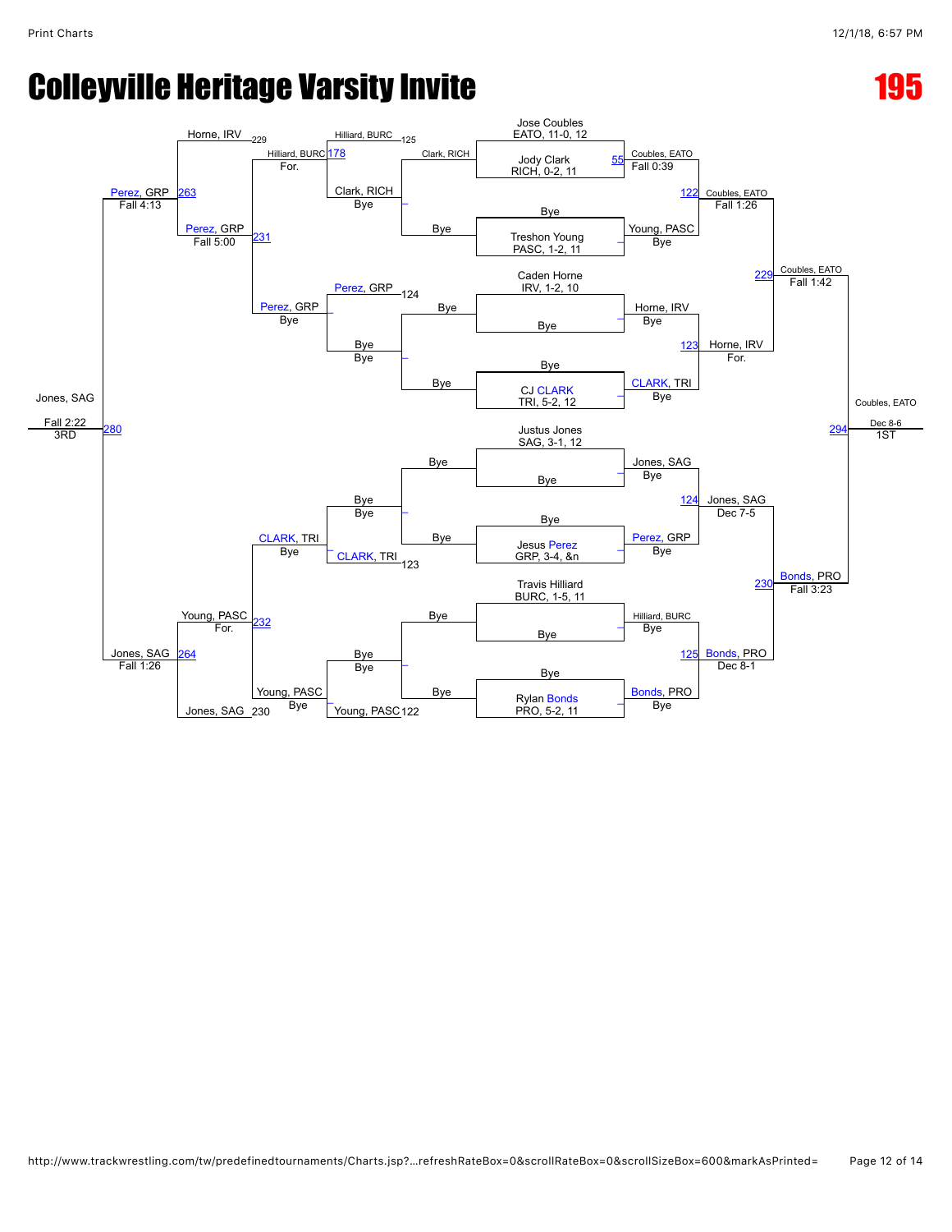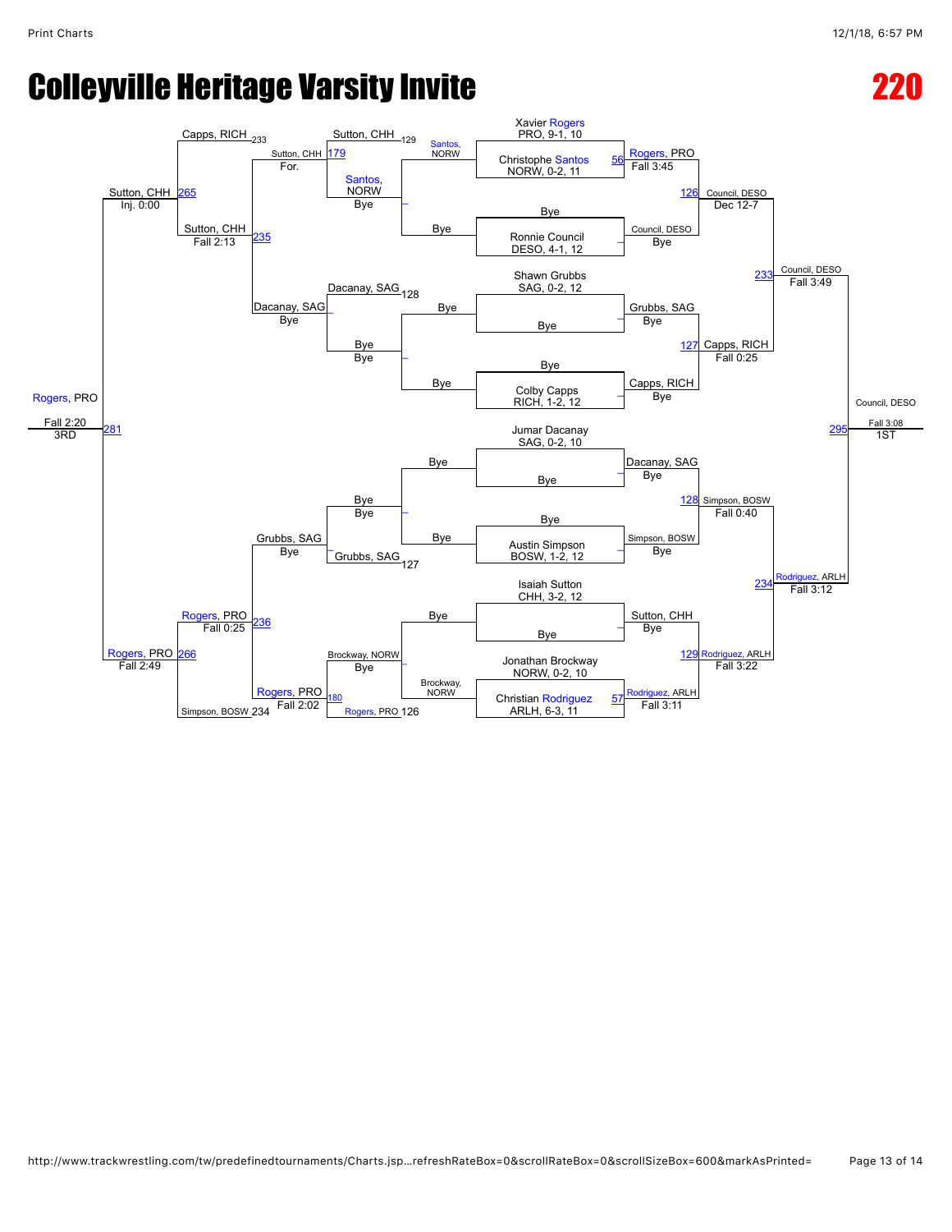# Colleyville Heritage Varsity Invite **220 and 22**